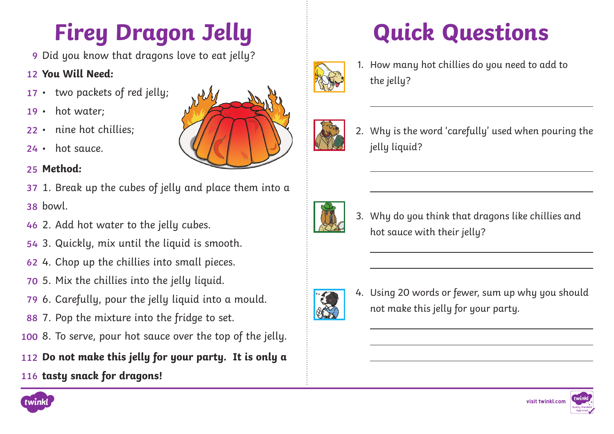## **Firey Dragon Jelly**

Did you know that dragons love to eat jelly? **9**

#### **You Will Need: 12**

- two packets of red jelly; **17**
- hot water: **19**
- nine hot chillies; **22**
- hot sauce. **24**

#### **Method: 25**

- 37 1. Break up the cubes of jelly and place them into a bowl. **38**
- 46 2. Add hot water to the jelly cubes.
- 54 3. Quickly, mix until the liquid is smooth.
- 4. Chop up the chillies into small pieces. **62**
- 5. Mix the chillies into the jelly liquid. **70**
- 79 6. Carefully, pour the jelly liquid into a mould.
- 88 7. Pop the mixture into the fridge to set.
- 100 8. To serve, pour hot sauce over the top of the jelly.

### **Do not make this jelly for your party. It is only a 112**

**tasty snack for dragons! 116**



1. How many hot chillies do you need to add to the jelly?



2. Why is the word 'carefully' used when pouring the jelly liquid?



3. Why do you think that dragons like chillies and hot sauce with their jelly?



4. Using 20 words or fewer, sum up why you should not make this jelly for your party.